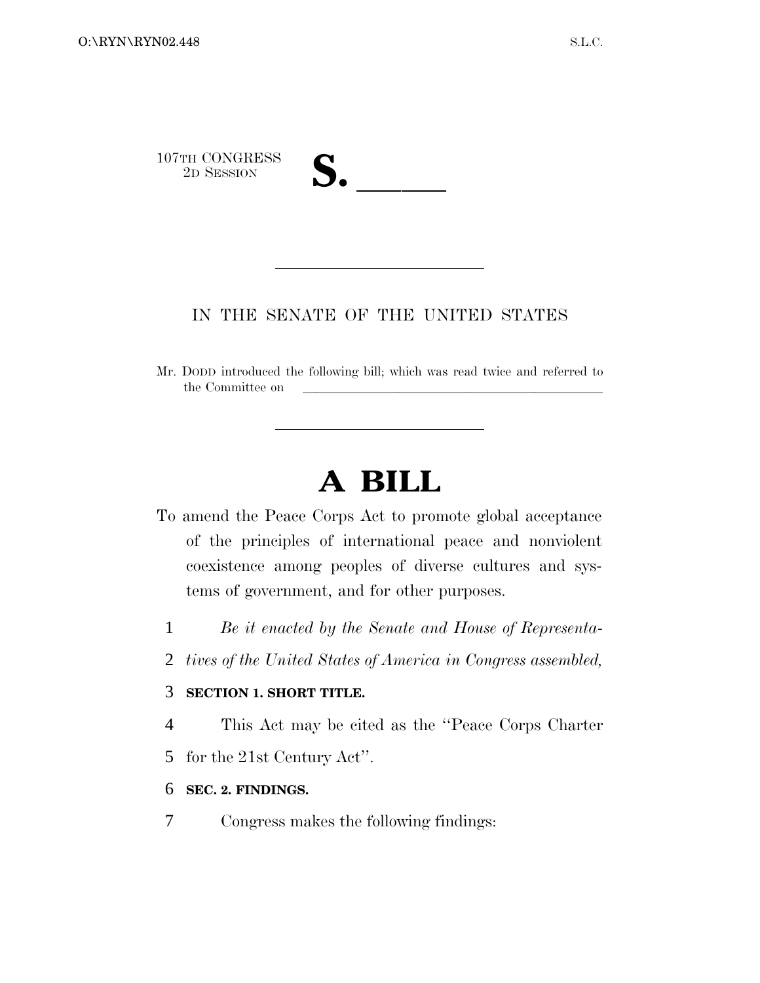

## IN THE SENATE OF THE UNITED STATES

Mr. DODD introduced the following bill; which was read twice and referred to the Committee on

# **A BILL**

- To amend the Peace Corps Act to promote global acceptance of the principles of international peace and nonviolent coexistence among peoples of diverse cultures and systems of government, and for other purposes.
	- 1 *Be it enacted by the Senate and House of Representa-*
	- 2 *tives of the United States of America in Congress assembled,*

## 3 **SECTION 1. SHORT TITLE.**

4 This Act may be cited as the ''Peace Corps Charter

5 for the 21st Century Act''.

#### 6 **SEC. 2. FINDINGS.**

7 Congress makes the following findings: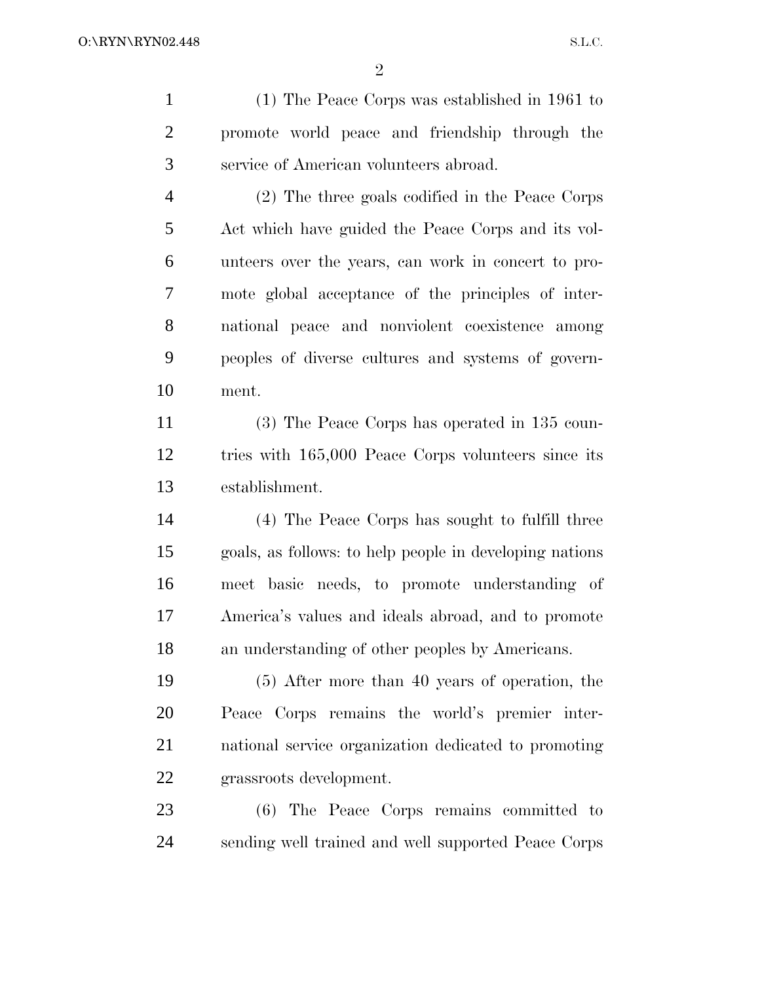(1) The Peace Corps was established in 1961 to promote world peace and friendship through the service of American volunteers abroad. (2) The three goals codified in the Peace Corps

 Act which have guided the Peace Corps and its vol- unteers over the years, can work in concert to pro- mote global acceptance of the principles of inter- national peace and nonviolent coexistence among peoples of diverse cultures and systems of govern-ment.

 (3) The Peace Corps has operated in 135 coun- tries with 165,000 Peace Corps volunteers since its establishment.

 (4) The Peace Corps has sought to fulfill three goals, as follows: to help people in developing nations meet basic needs, to promote understanding of America's values and ideals abroad, and to promote an understanding of other peoples by Americans.

 (5) After more than 40 years of operation, the Peace Corps remains the world's premier inter- national service organization dedicated to promoting grassroots development.

 (6) The Peace Corps remains committed to sending well trained and well supported Peace Corps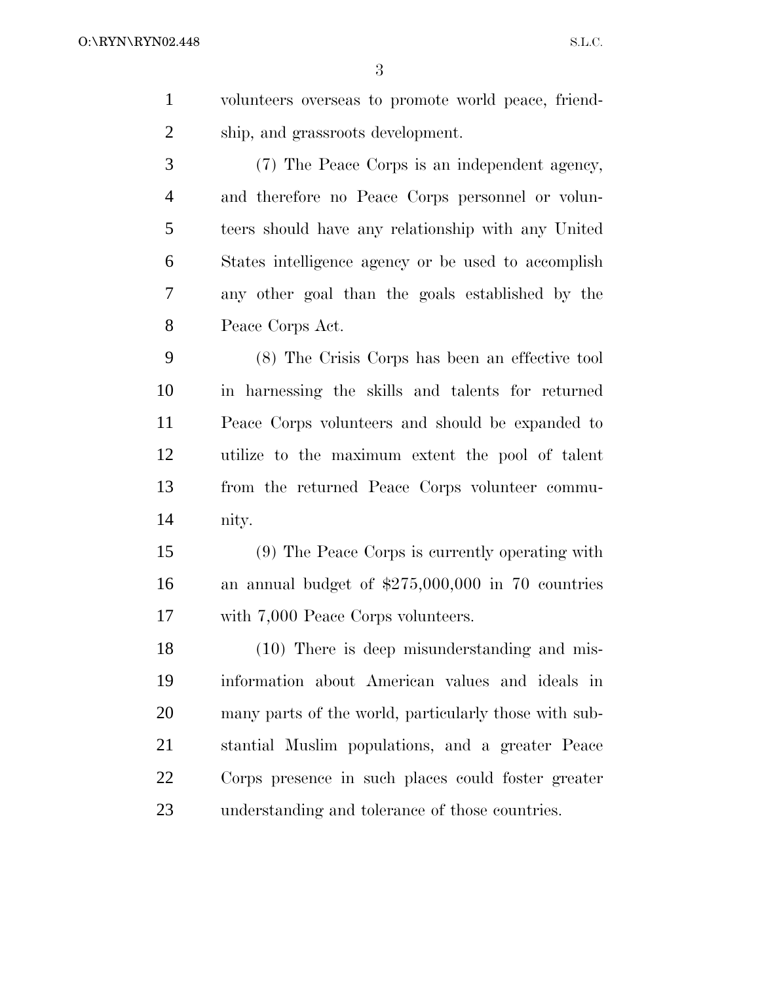volunteers overseas to promote world peace, friend-ship, and grassroots development.

 (7) The Peace Corps is an independent agency, and therefore no Peace Corps personnel or volun- teers should have any relationship with any United States intelligence agency or be used to accomplish any other goal than the goals established by the Peace Corps Act.

 (8) The Crisis Corps has been an effective tool in harnessing the skills and talents for returned Peace Corps volunteers and should be expanded to utilize to the maximum extent the pool of talent from the returned Peace Corps volunteer commu-nity.

 (9) The Peace Corps is currently operating with an annual budget of \$275,000,000 in 70 countries with 7,000 Peace Corps volunteers.

 (10) There is deep misunderstanding and mis- information about American values and ideals in many parts of the world, particularly those with sub- stantial Muslim populations, and a greater Peace Corps presence in such places could foster greater understanding and tolerance of those countries.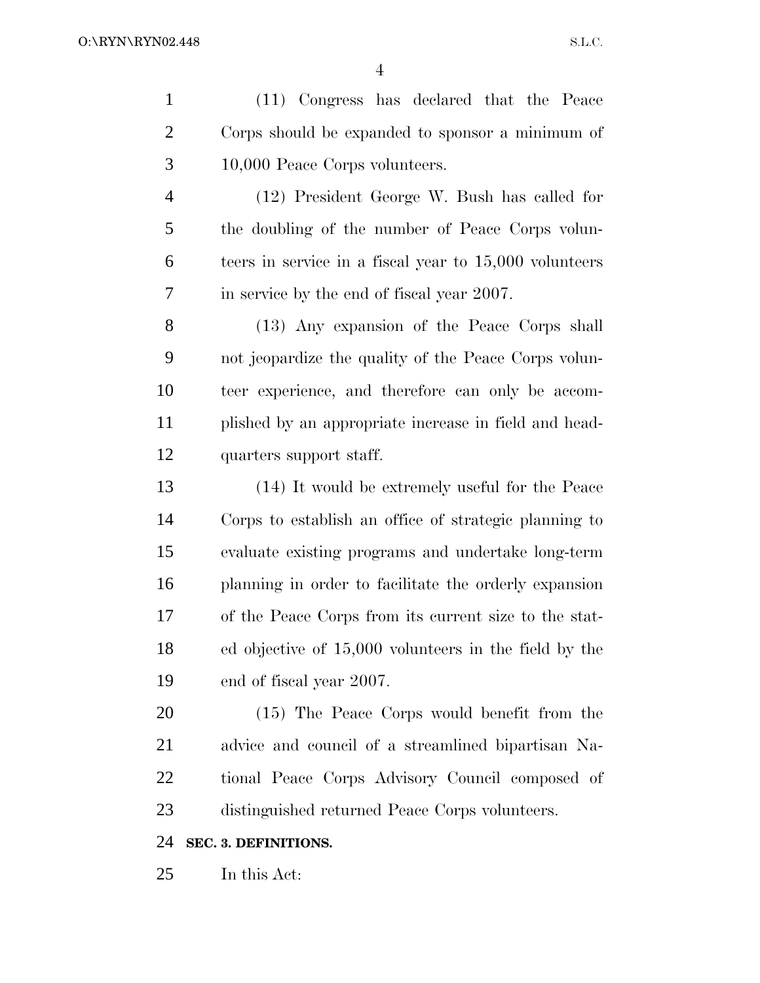(11) Congress has declared that the Peace Corps should be expanded to sponsor a minimum of 10,000 Peace Corps volunteers. (12) President George W. Bush has called for the doubling of the number of Peace Corps volun- teers in service in a fiscal year to 15,000 volunteers in service by the end of fiscal year 2007. (13) Any expansion of the Peace Corps shall not jeopardize the quality of the Peace Corps volun- teer experience, and therefore can only be accom- plished by an appropriate increase in field and head- quarters support staff. (14) It would be extremely useful for the Peace Corps to establish an office of strategic planning to evaluate existing programs and undertake long-term planning in order to facilitate the orderly expansion of the Peace Corps from its current size to the stat- ed objective of 15,000 volunteers in the field by the end of fiscal year 2007. (15) The Peace Corps would benefit from the advice and council of a streamlined bipartisan Na- tional Peace Corps Advisory Council composed of distinguished returned Peace Corps volunteers. **SEC. 3. DEFINITIONS.** In this Act: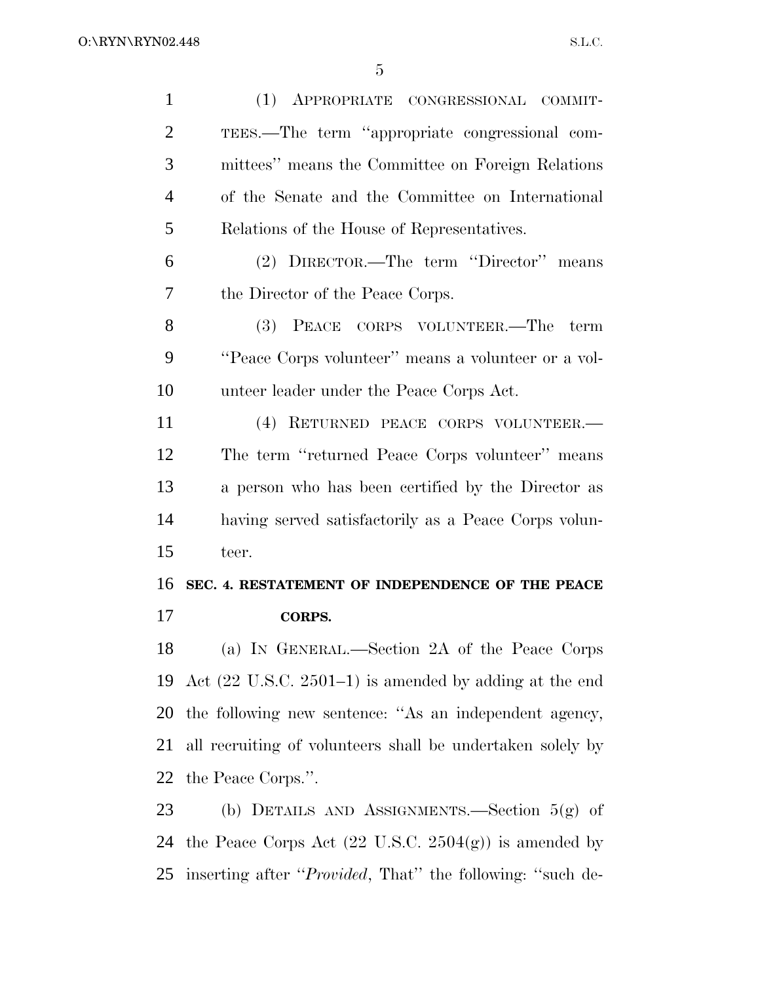(1) APPROPRIATE CONGRESSIONAL COMMIT- TEES.—The term ''appropriate congressional com- mittees'' means the Committee on Foreign Relations of the Senate and the Committee on International Relations of the House of Representatives. (2) DIRECTOR.—The term ''Director'' means the Director of the Peace Corps. (3) PEACE CORPS VOLUNTEER.—The term ''Peace Corps volunteer'' means a volunteer or a vol- unteer leader under the Peace Corps Act. (4) RETURNED PEACE CORPS VOLUNTEER.— The term ''returned Peace Corps volunteer'' means a person who has been certified by the Director as having served satisfactorily as a Peace Corps volun- teer. **SEC. 4. RESTATEMENT OF INDEPENDENCE OF THE PEACE CORPS.** (a) IN GENERAL.—Section 2A of the Peace Corps Act (22 U.S.C. 2501–1) is amended by adding at the end the following new sentence: ''As an independent agency, all recruiting of volunteers shall be undertaken solely by the Peace Corps.''. (b) DETAILS AND ASSIGNMENTS.—Section 5(g) of 24 the Peace Corps Act  $(22 \text{ U.S.C. } 2504(g))$  is amended by

inserting after ''*Provided*, That'' the following: ''such de-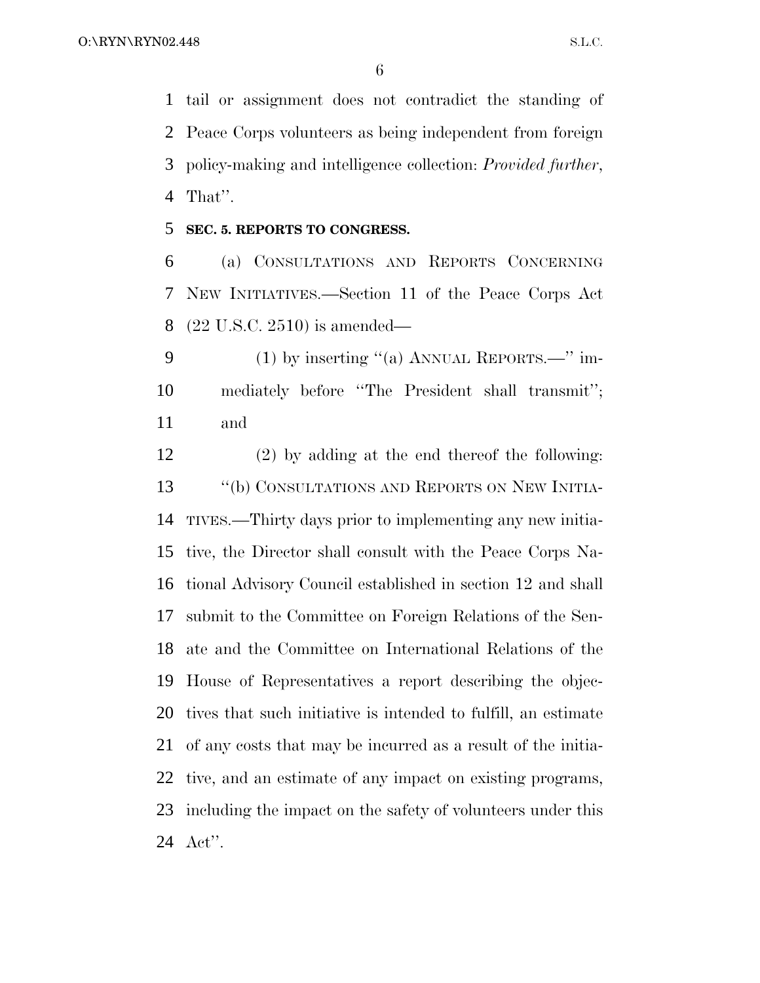tail or assignment does not contradict the standing of Peace Corps volunteers as being independent from foreign policy-making and intelligence collection: *Provided further*, That''.

#### **SEC. 5. REPORTS TO CONGRESS.**

 (a) CONSULTATIONS AND REPORTS CONCERNING NEW INITIATIVES.—Section 11 of the Peace Corps Act (22 U.S.C. 2510) is amended—

 (1) by inserting ''(a) ANNUAL REPORTS.—'' im- mediately before ''The President shall transmit''; and

 (2) by adding at the end thereof the following: 13 "(b) CONSULTATIONS AND REPORTS ON NEW INITIA- TIVES.—Thirty days prior to implementing any new initia- tive, the Director shall consult with the Peace Corps Na- tional Advisory Council established in section 12 and shall submit to the Committee on Foreign Relations of the Sen- ate and the Committee on International Relations of the House of Representatives a report describing the objec- tives that such initiative is intended to fulfill, an estimate of any costs that may be incurred as a result of the initia- tive, and an estimate of any impact on existing programs, including the impact on the safety of volunteers under this Act''.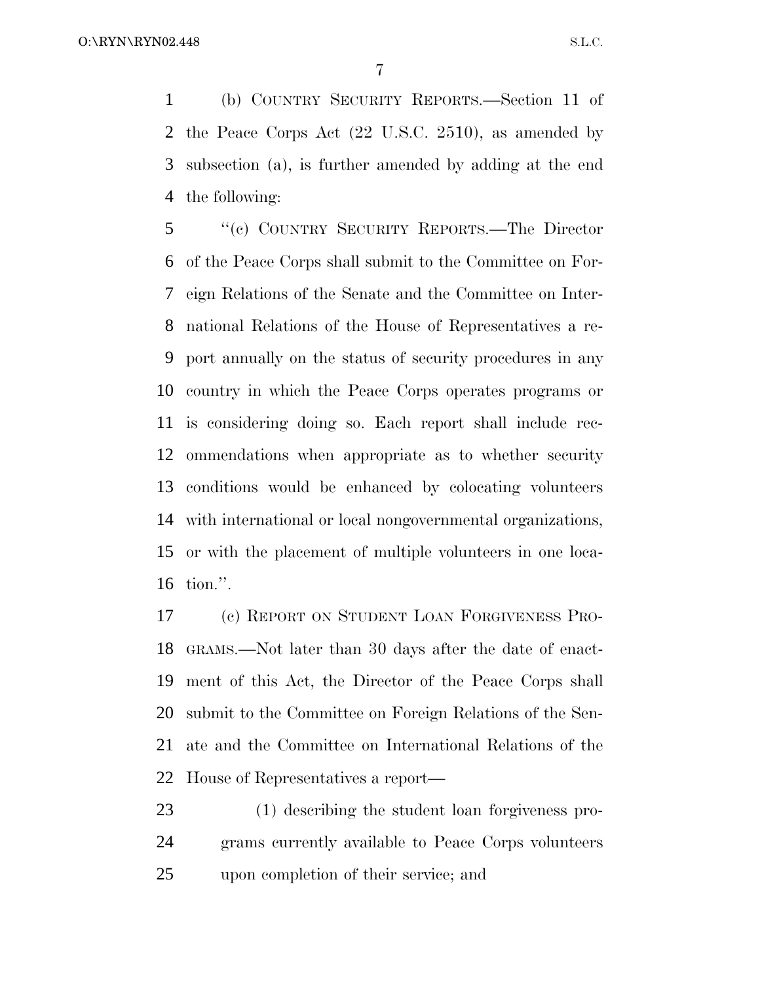(b) COUNTRY SECURITY REPORTS.—Section 11 of the Peace Corps Act (22 U.S.C. 2510), as amended by subsection (a), is further amended by adding at the end the following:

 ''(c) COUNTRY SECURITY REPORTS.—The Director of the Peace Corps shall submit to the Committee on For- eign Relations of the Senate and the Committee on Inter- national Relations of the House of Representatives a re- port annually on the status of security procedures in any country in which the Peace Corps operates programs or is considering doing so. Each report shall include rec- ommendations when appropriate as to whether security conditions would be enhanced by colocating volunteers with international or local nongovernmental organizations, or with the placement of multiple volunteers in one loca-tion.''.

 (c) REPORT ON STUDENT LOAN FORGIVENESS PRO- GRAMS.—Not later than 30 days after the date of enact- ment of this Act, the Director of the Peace Corps shall submit to the Committee on Foreign Relations of the Sen- ate and the Committee on International Relations of the House of Representatives a report—

 (1) describing the student loan forgiveness pro- grams currently available to Peace Corps volunteers upon completion of their service; and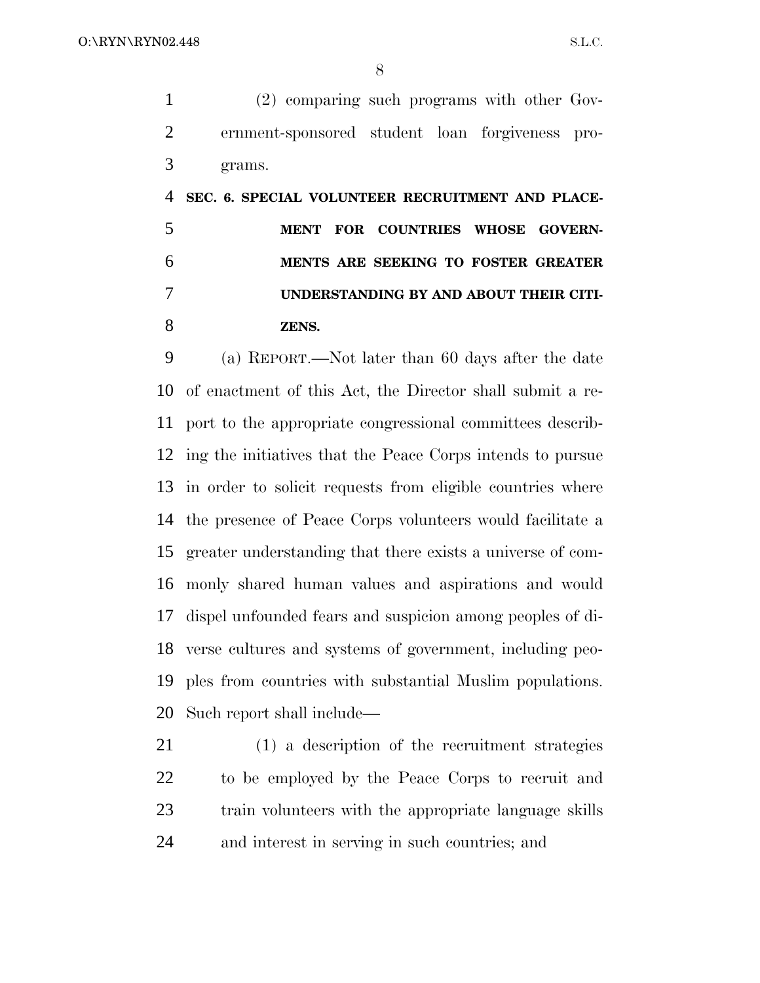(2) comparing such programs with other Gov- ernment-sponsored student loan forgiveness pro-grams.

 **SEC. 6. SPECIAL VOLUNTEER RECRUITMENT AND PLACE- MENT FOR COUNTRIES WHOSE GOVERN- MENTS ARE SEEKING TO FOSTER GREATER UNDERSTANDING BY AND ABOUT THEIR CITI-ZENS.**

 (a) REPORT.—Not later than 60 days after the date of enactment of this Act, the Director shall submit a re- port to the appropriate congressional committees describ- ing the initiatives that the Peace Corps intends to pursue in order to solicit requests from eligible countries where the presence of Peace Corps volunteers would facilitate a greater understanding that there exists a universe of com- monly shared human values and aspirations and would dispel unfounded fears and suspicion among peoples of di- verse cultures and systems of government, including peo- ples from countries with substantial Muslim populations. Such report shall include—

 (1) a description of the recruitment strategies to be employed by the Peace Corps to recruit and train volunteers with the appropriate language skills and interest in serving in such countries; and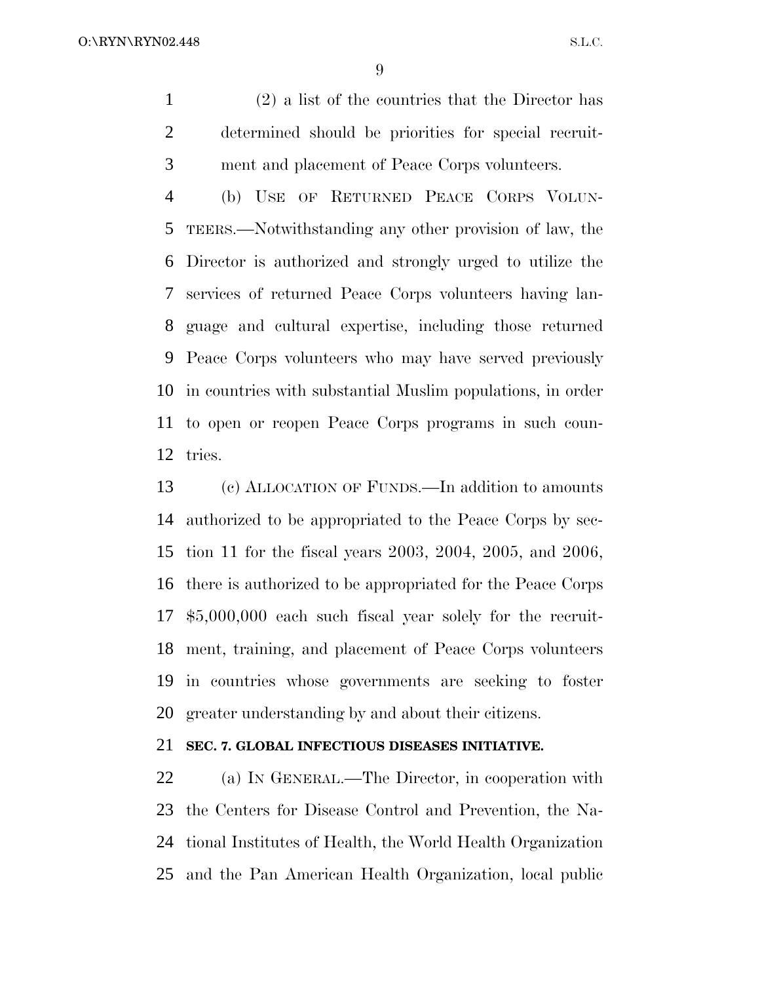(2) a list of the countries that the Director has determined should be priorities for special recruit-ment and placement of Peace Corps volunteers.

 (b) USE OF RETURNED PEACE CORPS VOLUN- TEERS.—Notwithstanding any other provision of law, the Director is authorized and strongly urged to utilize the services of returned Peace Corps volunteers having lan- guage and cultural expertise, including those returned Peace Corps volunteers who may have served previously in countries with substantial Muslim populations, in order to open or reopen Peace Corps programs in such coun-tries.

 (c) ALLOCATION OF FUNDS.—In addition to amounts authorized to be appropriated to the Peace Corps by sec- tion 11 for the fiscal years 2003, 2004, 2005, and 2006, there is authorized to be appropriated for the Peace Corps \$5,000,000 each such fiscal year solely for the recruit- ment, training, and placement of Peace Corps volunteers in countries whose governments are seeking to foster greater understanding by and about their citizens.

### **SEC. 7. GLOBAL INFECTIOUS DISEASES INITIATIVE.**

 (a) IN GENERAL.—The Director, in cooperation with the Centers for Disease Control and Prevention, the Na- tional Institutes of Health, the World Health Organization and the Pan American Health Organization, local public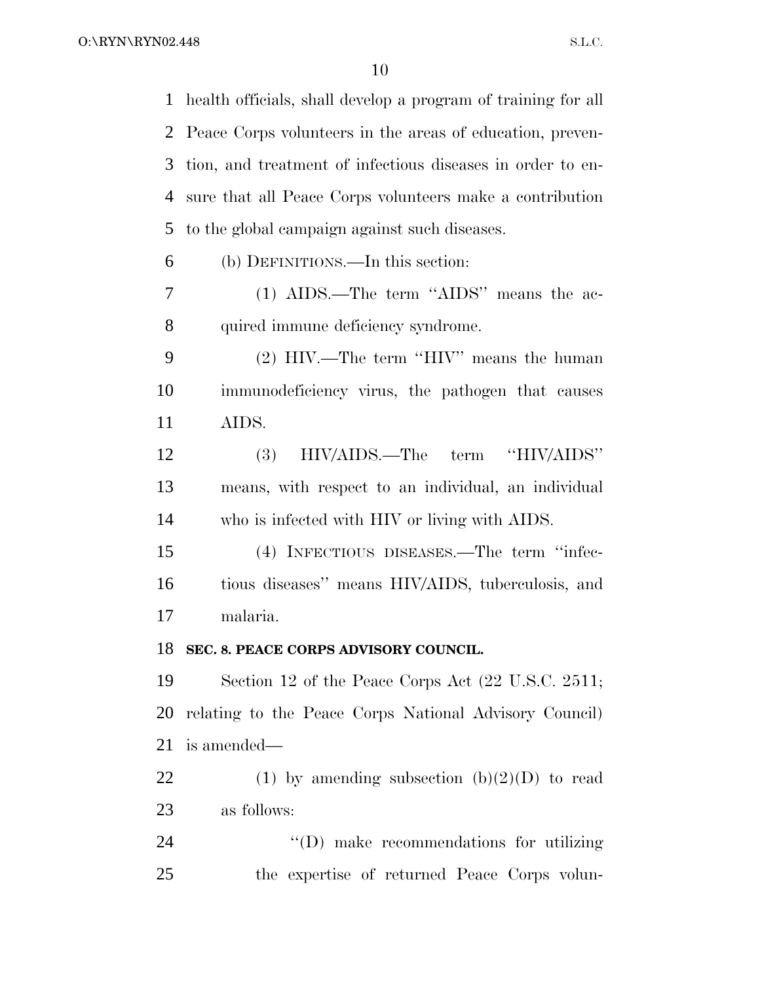health officials, shall develop a program of training for all Peace Corps volunteers in the areas of education, preven- tion, and treatment of infectious diseases in order to en- sure that all Peace Corps volunteers make a contribution to the global campaign against such diseases. (b) DEFINITIONS.—In this section: (1) AIDS.—The term ''AIDS'' means the ac-8 quired immune deficiency syndrome. (2) HIV.—The term ''HIV'' means the human immunodeficiency virus, the pathogen that causes AIDS. (3) HIV/AIDS.—The term ''HIV/AIDS'' means, with respect to an individual, an individual who is infected with HIV or living with AIDS. (4) INFECTIOUS DISEASES.—The term ''infec- tious diseases'' means HIV/AIDS, tuberculosis, and malaria. **SEC. 8. PEACE CORPS ADVISORY COUNCIL.** Section 12 of the Peace Corps Act (22 U.S.C. 2511; relating to the Peace Corps National Advisory Council) is amended— 22 (1) by amending subsection  $(b)(2)(D)$  to read as follows:  $\qquad$  (D) make recommendations for utilizing the expertise of returned Peace Corps volun-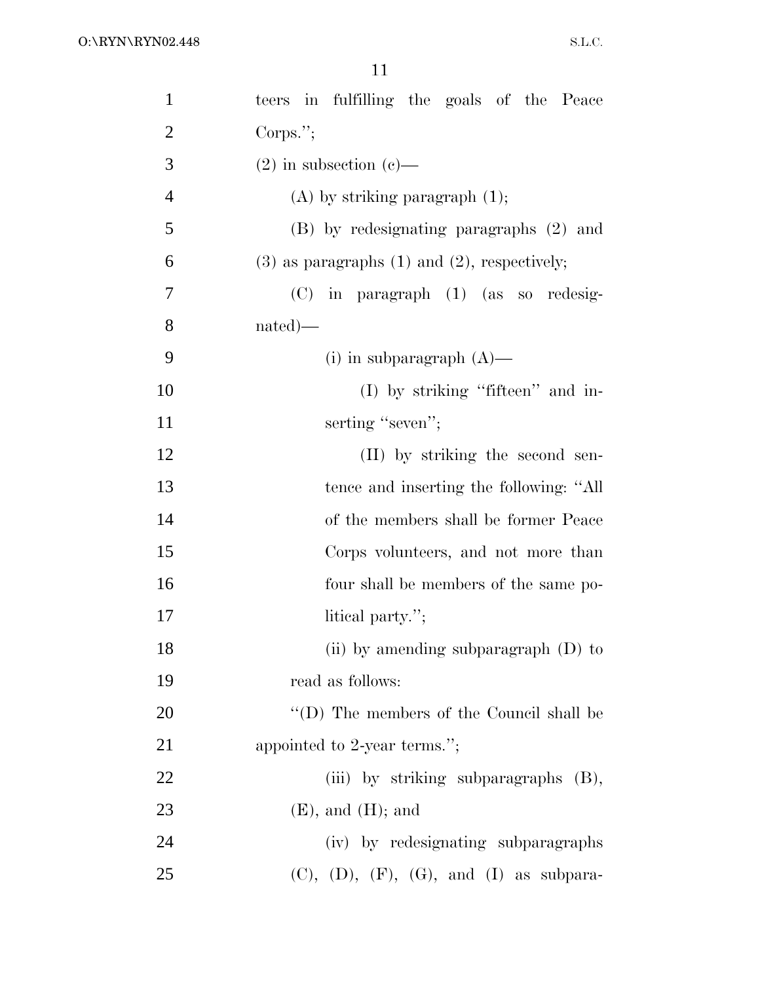| $\mathbf{1}$   | teers in fulfilling the goals of the Peace          |
|----------------|-----------------------------------------------------|
| $\overline{2}$ | Corps.";                                            |
| 3              | $(2)$ in subsection $(e)$ —                         |
| $\overline{4}$ | $(A)$ by striking paragraph $(1)$ ;                 |
| 5              | (B) by redesignating paragraphs (2) and             |
| 6              | $(3)$ as paragraphs $(1)$ and $(2)$ , respectively; |
| 7              | (C) in paragraph (1) (as so redesig-                |
| 8              | $nated)$ —                                          |
| 9              | (i) in subparagraph $(A)$ —                         |
| 10             | (I) by striking "fifteen" and in-                   |
| 11             | serting "seven";                                    |
| 12             | (II) by striking the second sen-                    |
| 13             | tence and inserting the following: "All             |
| 14             | of the members shall be former Peace                |
| 15             | Corps volunteers, and not more than                 |
| 16             | four shall be members of the same po-               |
| $17\,$         | litical party.";                                    |
| 18             | (ii) by amending subparagraph (D) to                |
| 19             | read as follows:                                    |
| 20             | "(D) The members of the Council shall be            |
| 21             | appointed to 2-year terms.";                        |
| 22             | (iii) by striking subparagraphs (B),                |
| 23             | $(E)$ , and $(H)$ ; and                             |
| 24             | (iv) by redesignating subparagraphs                 |
| 25             | $(C), (D), (F), (G), and (I)$ as subpara-           |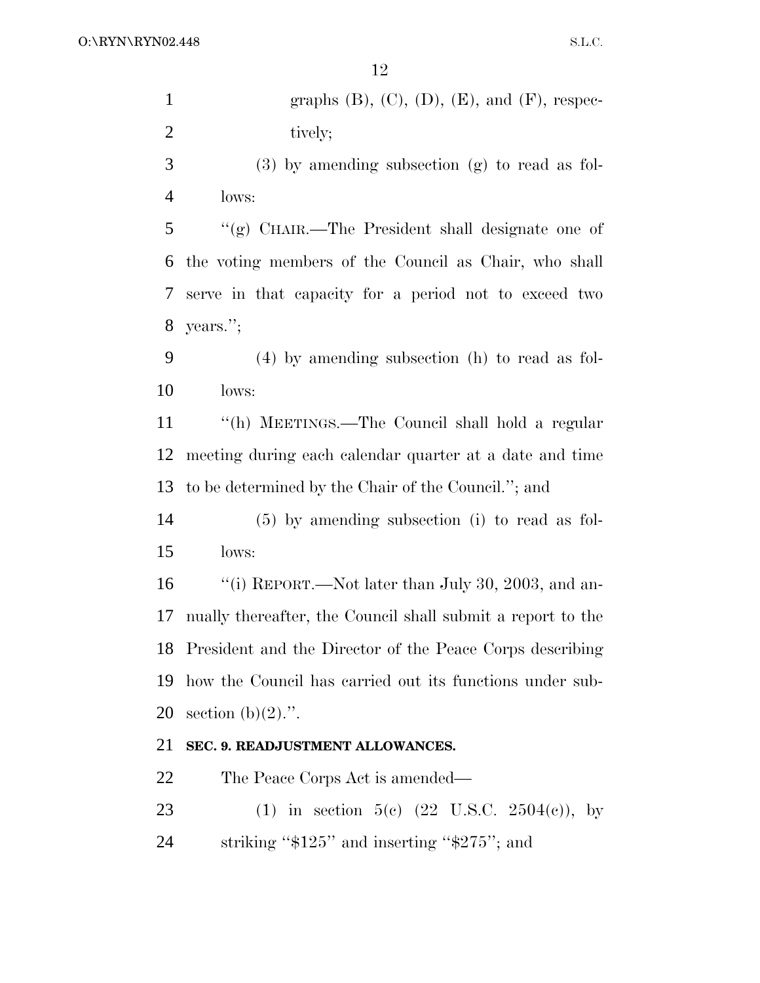| $\mathbf{1}$   | graphs $(B)$ , $(C)$ , $(D)$ , $(E)$ , and $(F)$ , respec-  |
|----------------|-------------------------------------------------------------|
| $\overline{2}$ | tively;                                                     |
| 3              | $(3)$ by amending subsection $(g)$ to read as fol-          |
| $\overline{4}$ | lows:                                                       |
| $\mathfrak{S}$ | "(g) CHAIR.—The President shall designate one of            |
| 6              | the voting members of the Council as Chair, who shall       |
| 7              | serve in that capacity for a period not to exceed two       |
| 8              | years.";                                                    |
| 9              | $(4)$ by amending subsection (h) to read as fol-            |
| 10             | lows:                                                       |
| 11             | "(h) MEETINGS.—The Council shall hold a regular             |
| 12             | meeting during each calendar quarter at a date and time     |
| 13             | to be determined by the Chair of the Council."; and         |
| 14             | $(5)$ by amending subsection (i) to read as fol-            |
| 15             | lows:                                                       |
| 16             | "(i) REPORT.—Not later than July 30, 2003, and an-          |
| 17             | nually thereafter, the Council shall submit a report to the |
|                | 18 President and the Director of the Peace Corps describing |
| 19             | how the Council has carried out its functions under sub-    |
| 20             | section $(b)(2)$ .".                                        |
| 21             | SEC. 9. READJUSTMENT ALLOWANCES.                            |
| 22             | The Peace Corps Act is amended—                             |
| 23             | (1) in section 5(c) $(22 \text{ U.S.C. } 2504(e))$ , by     |
| 24             | striking " $$125"$ and inserting " $$275"$ ; and            |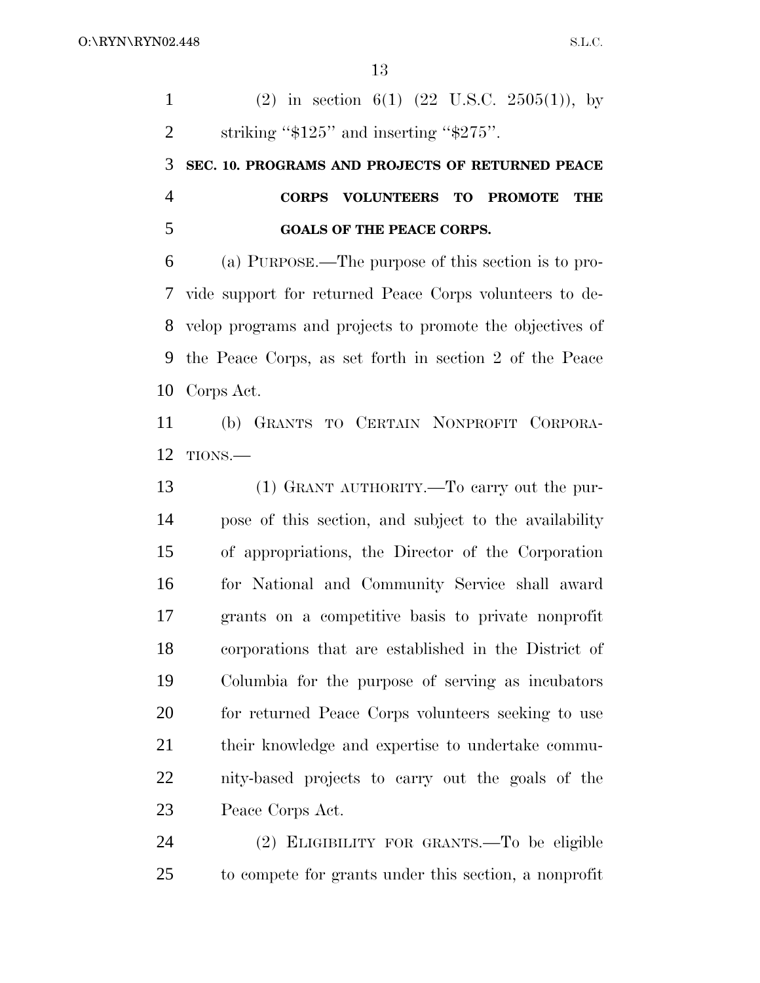1 (2) in section 6(1) (22 U.S.C. 2505(1)), by 2 striking " $$125"$  and inserting " $$275"$ . **SEC. 10. PROGRAMS AND PROJECTS OF RETURNED PEACE CORPS VOLUNTEERS TO PROMOTE THE GOALS OF THE PEACE CORPS.** (a) PURPOSE.—The purpose of this section is to pro- vide support for returned Peace Corps volunteers to de- velop programs and projects to promote the objectives of the Peace Corps, as set forth in section 2 of the Peace Corps Act. (b) GRANTS TO CERTAIN NONPROFIT CORPORA- TIONS.— (1) GRANT AUTHORITY.—To carry out the pur- pose of this section, and subject to the availability of appropriations, the Director of the Corporation for National and Community Service shall award grants on a competitive basis to private nonprofit corporations that are established in the District of Columbia for the purpose of serving as incubators for returned Peace Corps volunteers seeking to use their knowledge and expertise to undertake commu- nity-based projects to carry out the goals of the Peace Corps Act. (2) ELIGIBILITY FOR GRANTS.—To be eligible to compete for grants under this section, a nonprofit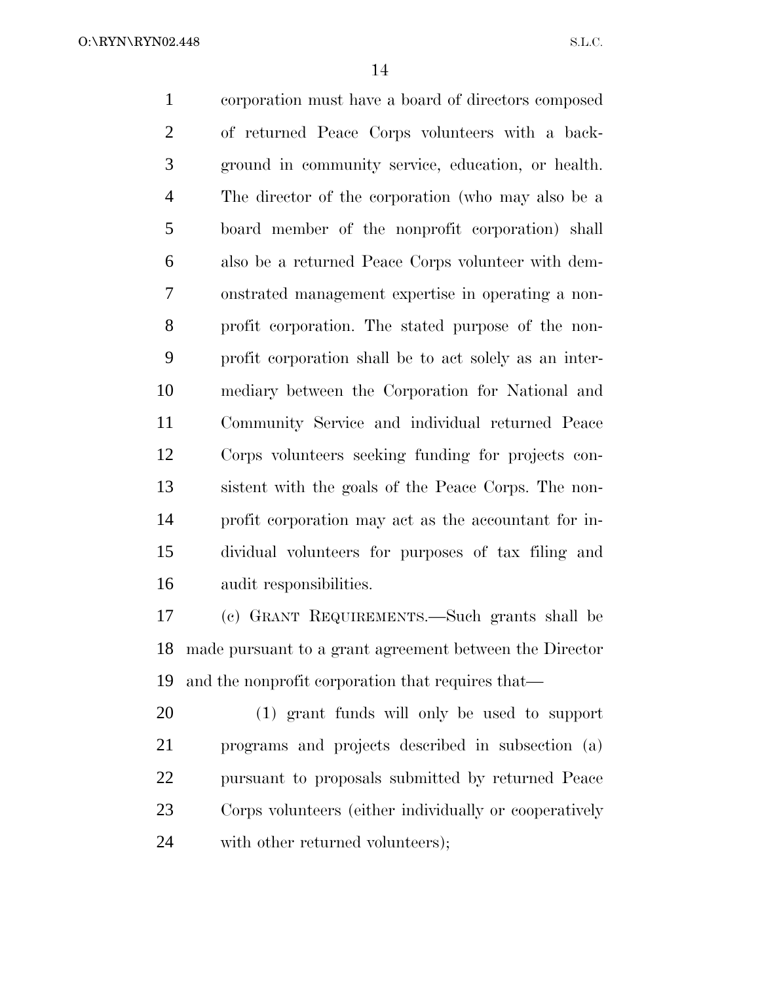corporation must have a board of directors composed of returned Peace Corps volunteers with a back- ground in community service, education, or health. The director of the corporation (who may also be a board member of the nonprofit corporation) shall also be a returned Peace Corps volunteer with dem- onstrated management expertise in operating a non- profit corporation. The stated purpose of the non- profit corporation shall be to act solely as an inter- mediary between the Corporation for National and Community Service and individual returned Peace Corps volunteers seeking funding for projects con- sistent with the goals of the Peace Corps. The non- profit corporation may act as the accountant for in- dividual volunteers for purposes of tax filing and audit responsibilities.

 (c) GRANT REQUIREMENTS.—Such grants shall be made pursuant to a grant agreement between the Director and the nonprofit corporation that requires that—

 (1) grant funds will only be used to support programs and projects described in subsection (a) pursuant to proposals submitted by returned Peace Corps volunteers (either individually or cooperatively 24 with other returned volunteers);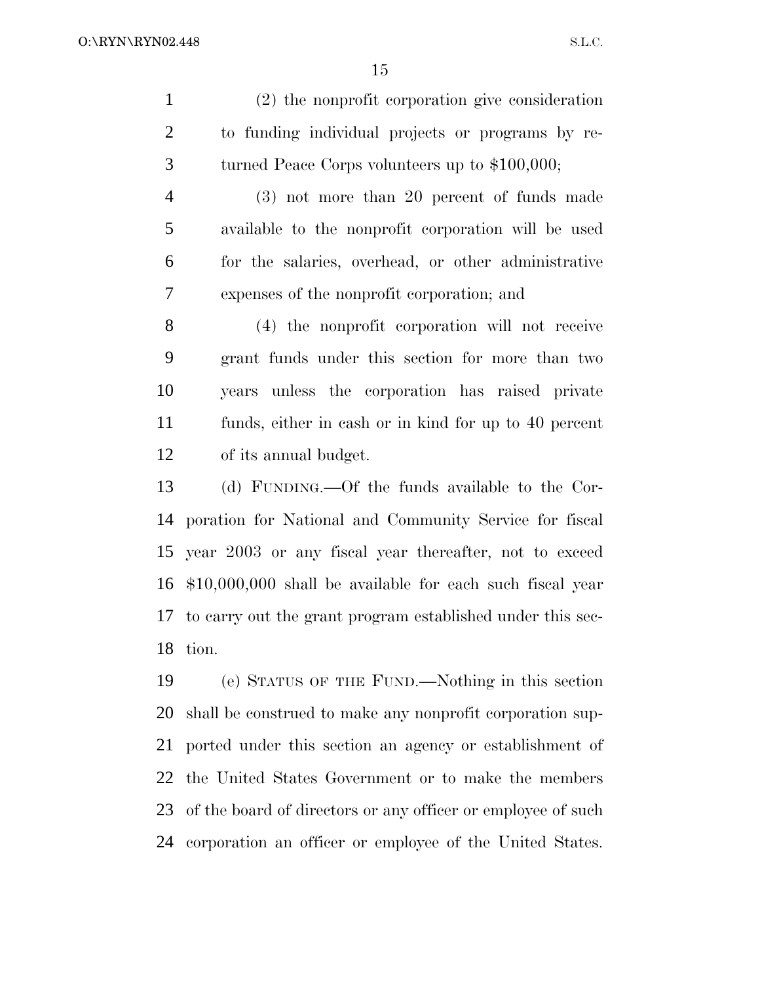S.L.C.

 (2) the nonprofit corporation give consideration to funding individual projects or programs by re-turned Peace Corps volunteers up to \$100,000;

 (3) not more than 20 percent of funds made available to the nonprofit corporation will be used for the salaries, overhead, or other administrative expenses of the nonprofit corporation; and

 (4) the nonprofit corporation will not receive grant funds under this section for more than two years unless the corporation has raised private funds, either in cash or in kind for up to 40 percent of its annual budget.

 (d) FUNDING.—Of the funds available to the Cor- poration for National and Community Service for fiscal year 2003 or any fiscal year thereafter, not to exceed \$10,000,000 shall be available for each such fiscal year to carry out the grant program established under this sec-tion.

 (e) STATUS OF THE FUND.—Nothing in this section shall be construed to make any nonprofit corporation sup- ported under this section an agency or establishment of the United States Government or to make the members 23 of the board of directors or any officer or employee of such corporation an officer or employee of the United States.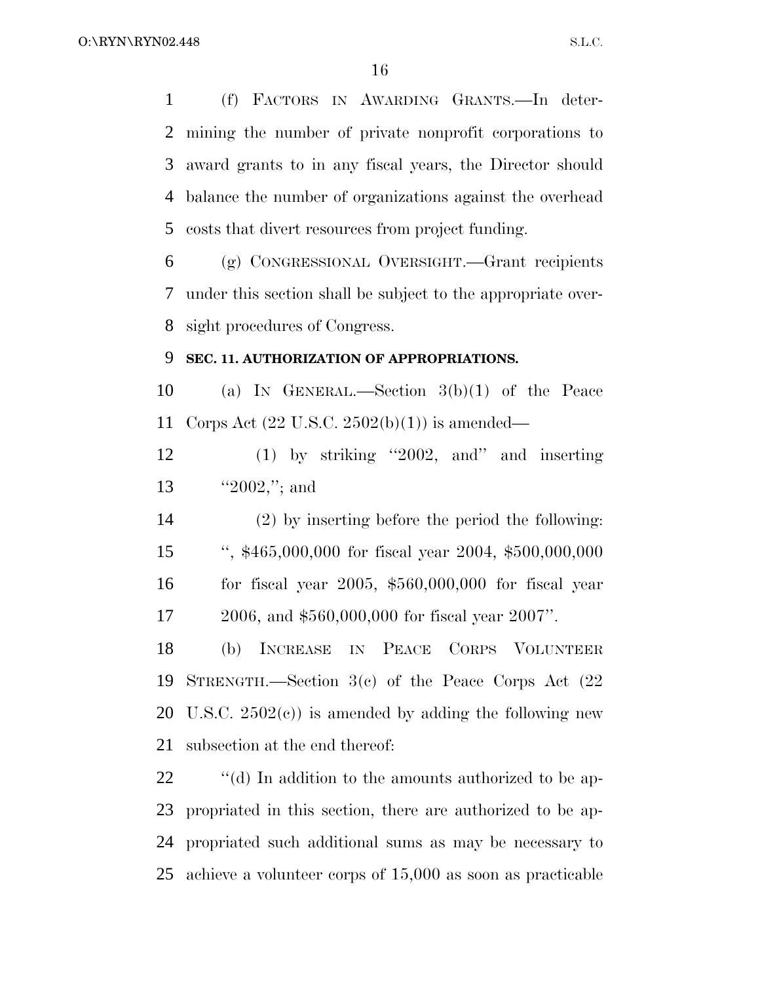(f) FACTORS IN AWARDING GRANTS.—In deter- mining the number of private nonprofit corporations to award grants to in any fiscal years, the Director should balance the number of organizations against the overhead costs that divert resources from project funding.

 (g) CONGRESSIONAL OVERSIGHT.—Grant recipients under this section shall be subject to the appropriate over-sight procedures of Congress.

#### **SEC. 11. AUTHORIZATION OF APPROPRIATIONS.**

 (a) IN GENERAL.—Section 3(b)(1) of the Peace Corps Act (22 U.S.C. 2502(b)(1)) is amended—

 (1) by striking ''2002, and'' and inserting ''2002,''; and

 (2) by inserting before the period the following: '', \$465,000,000 for fiscal year 2004, \$500,000,000 for fiscal year 2005, \$560,000,000 for fiscal year 2006, and \$560,000,000 for fiscal year 2007''.

 (b) INCREASE IN PEACE CORPS VOLUNTEER STRENGTH.—Section 3(c) of the Peace Corps Act (22 20 U.S.C.  $2502(e)$  is amended by adding the following new subsection at the end thereof:

 $\langle \hat{d} \rangle$  In addition to the amounts authorized to be ap- propriated in this section, there are authorized to be ap- propriated such additional sums as may be necessary to achieve a volunteer corps of 15,000 as soon as practicable